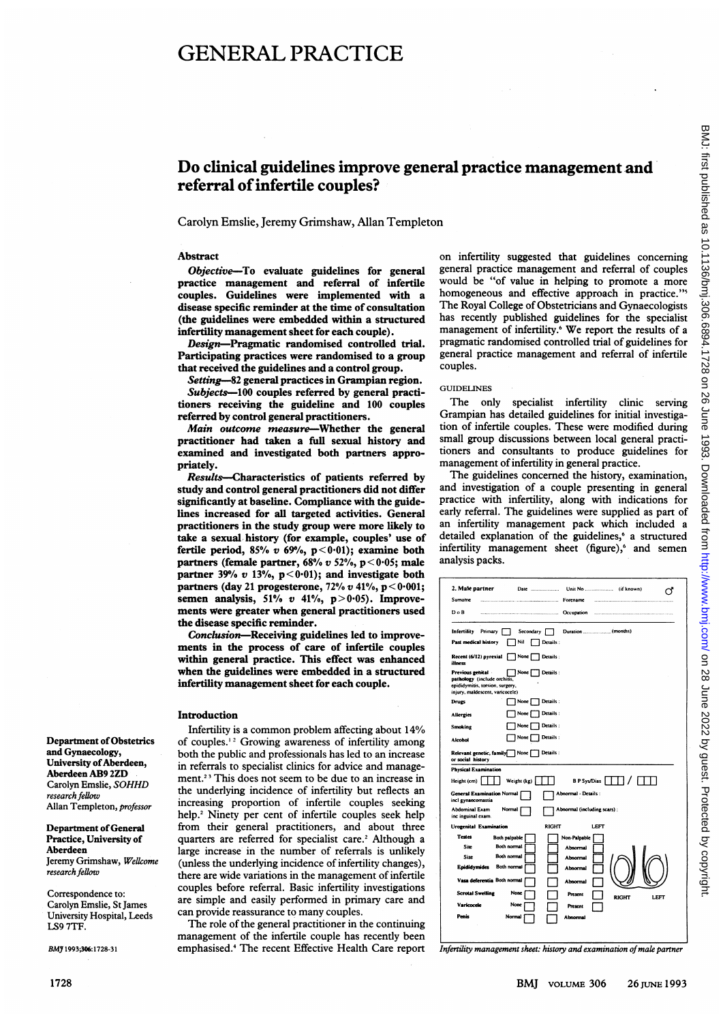# GENERAL PRACTICE

# Do clinical guidelines improve general practice management and referral of infertile couples?

Carolyn Emslie, Jeremy Grimshaw, Allan Templeton

#### Abstract

Objective-To evaluate guidelines for general practice management and referral of infertile couples. Guidelines were implemented with a disease specific reminder at the time of consultation (the guidelines were embedded within a structured infertility management sheet for each couple).

Design-Pragmatic randomised controlled trial. Participating practices were randomised to a group that received the guidelines and a control group.

Setting-82 general practices in Grampian region. Subjects-100 couples referred by general practitioners receiving the guideline and 100 couples referred by control general practitioners.

Main outcome measure-Whether the general practitioner had taken a full sexual history and examined and investigated both partners appropriately.

Results-Characteristics of patients referred by study and control general practitioners did not differ significantly at baseline. Compliance with the guidelines increased for all targeted activities. General practitioners in the study group were more likely to take a sexual history (for example, couples' use of fertile period, 85%  $v$  69%, p < 0.01); examine both partners (female partner,  $68\%$  v  $52\%$ ,  $p < 0.05$ ; male partner 39%  $v$  13%,  $p < 0.01$ ); and investigate both partners (day 21 progesterone,  $72\% v 41\%$ ,  $p < 0.001$ ; semen analysis,  $51\%$  v  $41\%$ ,  $p > 0.05$ ). Improvements were greater when general practitioners used the disease specific reminder.

Conclusion-Receiving guidelines led to improvements in the process of care of infertile couples within general practice. This effect was enhanced when the guidelines were embedded in a structured infertility management sheet for each couple.

#### Introduction

Infertility is <sup>a</sup> common problem affecting about 14% of couples.<sup>12</sup> Growing awareness of infertility among both the public and professionals has led to an increase in referrals to specialist clinics for advice and management.<sup>23</sup> This does not seem to be due to an increase in the underlying incidence of infertility but reflects an increasing proportion of infertile couples seeking help.<sup>2</sup> Ninety per cent of infertile couples seek help from their general practitioners, and about three quarters are referred for specialist care.<sup>2</sup> Although a large increase in the number of referrals is unlikely (unless the underlying incidence of infertility changes), there are wide variations in the management of infertile couples before referral. Basic infertility investigations are simple and easily performed in primary care and can provide reassurance to many couples.

The role of the general practitioner in the continuing management of the infertile couple has recently been emphasised.4 The recent Effective Health Care report

on infertility suggested that guidelines concerning general practice management and referral of couples would be "of value in helping to promote a more homogeneous and effective approach in practice."<sup>5</sup> The Royal College of Obstetricians and Gynaecologists has recently published guidelines for the specialist management of infertility.<sup>6</sup> We report the results of a pragmatic randomised controlled trial of guidelines for general practice management and referral of infertile couples.

#### GUIDELINES

The only specialist infertility clinic serving Grampian has detailed guidelines for initial investigation of infertile couples. These were modified during small group discussions between local general practitioners and consultants to produce guidelines for management of infertility in general practice.

The guidelines concerned the history, examination, and investigation of a couple presenting in general practice with infertility, along with indications for early referral. The guidelines were supplied as part of an infertility management pack which included a detailed explanation of the guidelines,<sup>6</sup> a structured infertility management sheet (figure),<sup>6</sup> and semen analysis packs.

| 2. Male partner<br>Date<br>Unit No<br>(if known)                                                                                             |
|----------------------------------------------------------------------------------------------------------------------------------------------|
| Sumame<br>Forename                                                                                                                           |
| $D \circ B$<br>Occupation                                                                                                                    |
| Primary<br>Infertility<br>Secondary                                                                                                          |
| Past medical history<br>Nil<br>Details:                                                                                                      |
| None<br>Recent (6/12) pyrexial<br>Details:<br>illness                                                                                        |
| None [<br>Previous genital<br>Details:<br>pathology (include orchitis,<br>epididymitis, torsion, surgery,<br>injury, maldescent, varicocele) |
| None<br>Details:<br>Drugs                                                                                                                    |
| Details:<br>None  <br><b>Allergies</b>                                                                                                       |
| Details:<br>None  <br>Smoking                                                                                                                |
| Details:<br>None  <br>Alcohol                                                                                                                |
| Details:<br>Relevant genetic, family<br>] None [<br>or social history                                                                        |
| <b>Physical Examination</b>                                                                                                                  |
| <b>B P Sys/Dias</b><br>Weight (kg)<br>Height (cm)                                                                                            |
| <b>General Examination Normal</b><br>Abnormal - Details :<br>incl gynaecomastia                                                              |
| <b>Abdominal Exam</b><br>Abnormal (including scars):<br>Normal<br>inc inguinal exam.                                                         |
| <b>RIGHT</b><br><b>LEFT</b><br><b>Urogenital Examination</b>                                                                                 |
| <b>Testes</b><br>Both palpable<br>Non-Palpable                                                                                               |
| <b>Site</b><br>Both normal<br>Abnormal                                                                                                       |
| Both normal<br>Size<br>Abnormal                                                                                                              |
| Epididymides<br>Both normal<br>Absormal                                                                                                      |
| Vasa deferentia Both normal<br>Abnormal                                                                                                      |
| <b>Scrotal Swelling</b><br>None<br>Present<br><b>RIGHT</b><br>LEFT                                                                           |
| Varicocele<br>None<br>Present                                                                                                                |
| Penis<br>Normal<br>Abnormal                                                                                                                  |

Infertility management sheet: history and examination of male partner

Department of Obstetrics and Gynaecology, University of Aberdeen, Aberdeen AB9 2ZD Carolyn Emslie, SOHHD research fellow Allan Templeton, professor

Department of General Practice, University of Aberdeen Jeremy Grimshaw, Wellcome research fellow

Correspondence to: Carolyn Emslie, St James University Hospital, Leeds LS9 7TF.

BMJ 1993;306:1728-31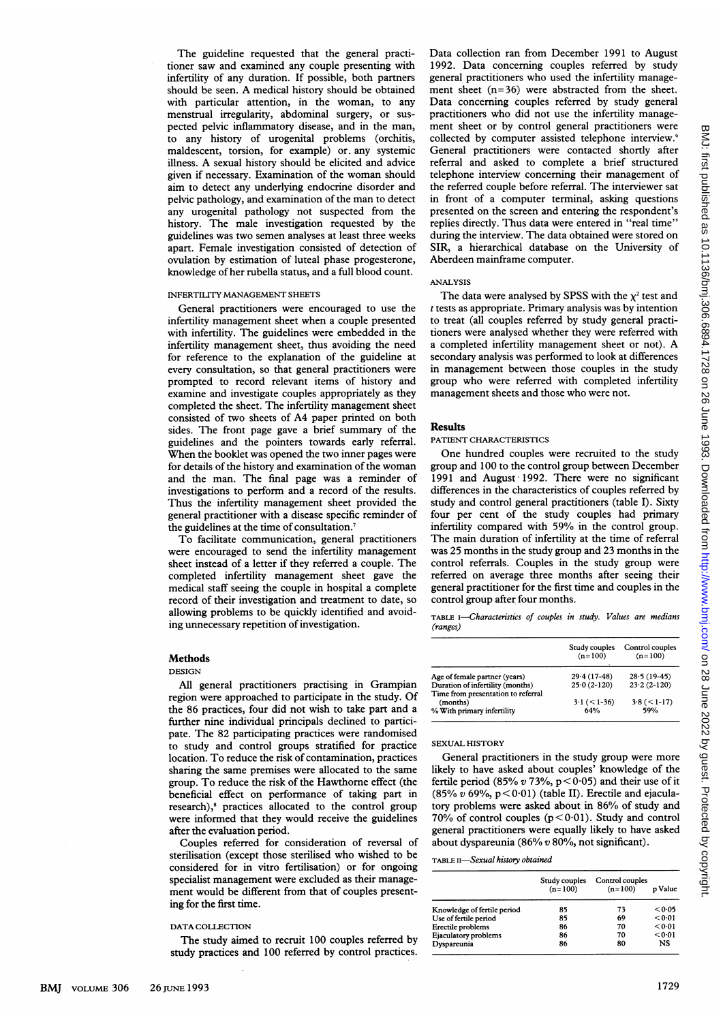The guideline requested that the general practitioner saw and examined any couple presenting with infertility of any duration. If possible, both partners should be seen. A medical history should be obtained with particular attention, in the woman, to any menstrual irregularity, abdominal surgery, or suspected pelvic inflammatory disease, and in the man, to any history of urogenital problems (orchitis, maldescent, torsion, for example) or. any systemic illness. A sexual history should be elicited and advice given if necessary. Examination of the woman should aim to detect any underlying endocrine disorder and pelvic pathology, and examination of the man to detect any urogenital pathology not suspected from the history. The male investigation requested by the guidelines was two semen analyses at least three weeks apart. Female investigation consisted of detection of ovulation by estimation of luteal phase progesterone, knowledge of her rubella status, and a full blood count.

# INFERTILITY MANAGEMENT SHEETS

General practitioners were encouraged to use the infertility management sheet when <sup>a</sup> couple presented with infertility. The guidelines were embedded in the infertility management sheet, thus avoiding the need for reference to the explanation of the guideline at every consultation, so that general practitioners were prompted to record relevant items of history and examine and investigate couples appropriately as they completed the sheet. The infertility management sheet consisted of two sheets of A4 paper printed on both sides. The front page gave a brief summary of the guidelines and the pointers towards early referral. When the booklet was opened the two inner pages were for details of the history and examination of the woman and the man. The final page was a reminder of investigations to perform and a record of the results. Thus the infertility management sheet provided the general practitioner with a disease specific reminder of the guidelines at the time of consultation.7

To facilitate communication, general practitioners were encouraged to send the infertility management sheet instead of a letter if they referred <sup>a</sup> couple. The completed infertility management sheet gave the medical staff seeing the couple in hospital a complete record of their investigation and treatment to date, so allowing problems to be quickly identified and avoiding unnecessary repetition of investigation.

# Methods

### DESIGN

All general practitioners practising in Grampian region were approached to participate in the study. Of the 86 practices, four did not wish to take part and a further nine individual principals declined to participate. The 82 participating practices were randomised to study and control groups stratified for practice location. To reduce the risk of contamination, practices sharing the same premises were allocated to the same group. To reduce the risk of the Hawthorne effect (the beneficial effect on performance of taking part in research),<sup>8</sup> practices allocated to the control group were informed that they would receive the guidelines after the evaluation period.

Couples referred for consideration of reversal of sterilisation (except those sterilised who wished to be considered for in vitro fertilisation) or for ongoing specialist management were excluded as their management would be different from that of couples presenting for the first time.

#### DATA COLLECTION

The study aimed to recruit 100 couples referred by study practices and 100 referred by control practices. Data collection ran from December 1991 to August 1992. Data concerning couples referred by study general practitioners who used the infertility management sheet  $(n=36)$  were abstracted from the sheet. Data concerning couples referred by study general practitioners who did not use the infertility management sheet or by control general practitioners were collected by computer assisted telephone interview.9 General practitioners were contacted shortly after referral and asked to complete a brief structured telephone interview concerning their management of the referred couple before referral. The interviewer sat in front of a computer terminal, asking questions presented on the screen and entering the respondent's replies directly. Thus data were entered in "real time" during the interview. The data obtained were stored on SIR, a hierarchical database on the University of Aberdeen mainframe computer.

#### ANALYSIS

The data were analysed by SPSS with the  $\chi^2$  test and  $t$  tests as appropriate. Primary analysis was by intention to treat (all couples referred by study general practitioners were analysed whether they were referred with <sup>a</sup> completed infertility management sheet or not). A secondary analysis was performed to look at differences in management between those couples in the study group who were referred with completed infertility management sheets and those who were not.

# Results

#### PATIENT CHARACTERISTICS

One hundred couples were recruited to the study group and 100 to the control group between December 1991 and August 1992. There were no significant differences in the characteristics of couples referred by study and control general practitioners (table I). Sixty four per cent of the study couples had primary infertility compared with 59% in the control group. The main duration of infertility at the time of referral was 25 months in the study group and 23 months in the control referrals. Couples in the study group were referred on average three months after seeing their general practitioner for the first time and couples in the control group after four months.

TABLE I-Characteristics of couples in study. Values are medians (ranges)

|                                                                        | Study couples<br>$(n=100)$ | Control couples<br>$(n=100)$ |  |
|------------------------------------------------------------------------|----------------------------|------------------------------|--|
| Age of female partner (years)                                          | $29.4(17-48)$              | $28.5(19-45)$                |  |
| Duration of infertility (months)<br>Time from presentation to referral | $25.0(2-120)$              | $23.2(2-120)$                |  |
| (months)<br>% With primary infertility                                 | $3.1 \,(<\,1-36)$<br>64%   | $3.8 (< 1-17)$<br>59%        |  |

#### SEXUAL HISTORY

General practitioners in the study group were more likely to have asked about couples' knowledge of the fertile period (85% v 73%,  $p < 0.05$ ) and their use of it (85%  $v$  69%, p < 0.01) (table II). Erectile and ejaculatory problems were asked about in 86% of study and 70% of control couples  $(p < 0.01)$ . Study and control general practitioners were equally likely to have asked about dyspareunia (86% v 80%, not significant).

# TABLE II-Sexual history obtained

|                             | Study couples<br>$(n=100)$ | Control couples<br>$(n=100)$ | p Value |
|-----------------------------|----------------------------|------------------------------|---------|
| Knowledge of fertile period | 85                         | 73                           | < 0.05  |
| Use of fertile period       | 85                         | 69                           | < 0.01  |
| Erectile problems           | 86                         | 70                           | < 0.01  |
| Ejaculatory problems        | 86                         | 70                           | < 0.01  |
| Dyspareunia                 | 86                         | 80                           | NS      |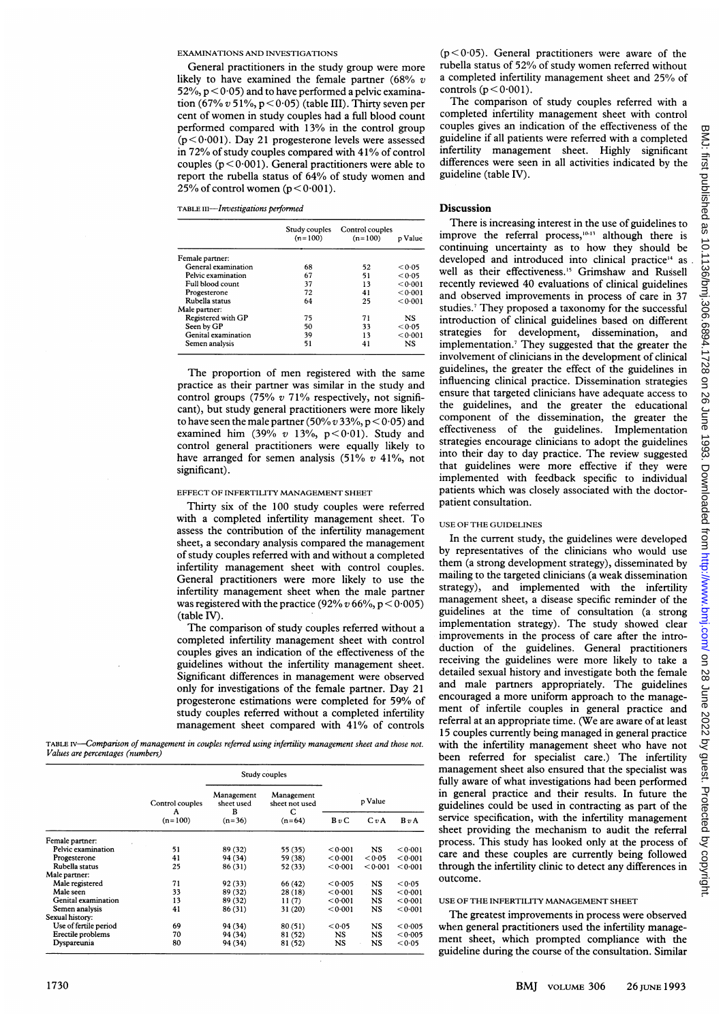#### EXAMINATIONS AND INVESTIGATIONS

General practitioners in the study group were more likely to have examined the female partner (68%  $v$ 52%,  $p < 0.05$ ) and to have performed a pelvic examination  $(67\% v 51\%, p < 0.05)$  (table III). Thirty seven per cent of women in study couples had <sup>a</sup> full blood count performed compared with 13% in the control group  $(p < 0.001)$ . Day 21 progesterone levels were assessed in 72% of study couples compared with 41% of control couples  $(p < 0.001)$ . General practitioners were able to report the rubella status of 64% of study women and 25% of control women ( $p < 0.001$ ).

TABLE III-Investigations performed

|                     | Study couples<br>$(n=100)$ | Control couples<br>$(n=100)$ | p Value |
|---------------------|----------------------------|------------------------------|---------|
| Female partner:     |                            |                              |         |
| General examination | 68                         | 52                           | < 0.05  |
| Pelvic examination  | 67                         | 51                           | < 0.05  |
| Full blood count    | 37                         | 13                           | < 0.001 |
| Progesterone        | 72                         | 41                           | < 0.001 |
| Rubella status      | 64                         | 25                           | < 0.001 |
| Male partner:       |                            |                              |         |
| Registered with GP  | 75                         | 71                           | NS.     |
| Seen by GP          | 50                         | 33                           | < 0.05  |
| Genital examination | 39                         | 13                           | < 0.001 |
| Semen analysis      | 51                         | 41                           | NS      |

The proportion of men registered with the same practice as their partner was similar in the study and control groups (75%  $v$  71% respectively, not significant), but study general practitioners were more likely to have seen the male partner (50%  $v$  33%, p < 0.05) and examined him (39% v 13%,  $p < 0.01$ ). Study and control general practitioners were equally likely to have arranged for semen analysis (51%  $v$  41%, not significant).

#### EFFECT OF INFERTILITY MANAGEMENT SHEET

Thirty six of the 100 study couples were referred with <sup>a</sup> completed infertility management sheet. To assess the contribution of the infertility management sheet, <sup>a</sup> secondary analysis compared the management of study couples referred with and without <sup>a</sup> completed infertility management sheet with control couples. General practitioners were more likely to use the infertility management sheet when the male partner was registered with the practice (92%  $v$  66%, p < 0.005) (table IV).

The comparison of study couples referred without <sup>a</sup> completed infertility management sheet with control couples gives an indication of the effectiveness of the guidelines without the infertility management sheet. Significant differences in management were observed only for investigations of the female partner. Day 21 progesterone estimations were completed for 59% of study couples referred without a completed infertility management sheet compared with 41% of controls

TABLE IV-Comparison of management in couples referred using infertility management sheet and those not. Values are percentages (numbers)

|                       | Control couples<br>A<br>$(n=100)$ | Study couples            |                                   |           |           |         |
|-----------------------|-----------------------------------|--------------------------|-----------------------------------|-----------|-----------|---------|
|                       |                                   | Management<br>sheet used | Management<br>sheet not used<br>C | p Value   |           |         |
|                       |                                   | в<br>$(n=36)$            | $(n=64)$                          | BvC       | C v A     | BvA     |
| Female partner:       |                                   |                          |                                   |           |           |         |
| Pelvic examination    | 51                                | 89 (32)                  | 55 (35)                           | < 0.001   | NS.       | 0001    |
| Progesterone          | 41                                | 94 (34)                  | 59 (38)                           | < 0.001   | < 0.05    | < 0.001 |
| Rubella status        | 25                                | 86 (31)                  | 52 (33)                           | < 0.001   | < 0.001   | < 0.001 |
| Male partner:         |                                   |                          |                                   |           |           |         |
| Male registered       | 71                                | 92 (33)                  | 66 (42)                           | < 0.005   | NS        | < 0.05  |
| Male seen             | 33                                | 89 (32)                  | 28(18)                            | < 0.001   | <b>NS</b> | < 0.001 |
| Genital examination   | 13                                | 89 (32)                  | 11(7)                             | < 0.001   | NS.       | < 0.001 |
| Semen analysis        | 41                                | 86 (31)                  | 31(20)                            | < 0.001   | NS        | < 0.001 |
| Sexual history:       |                                   |                          |                                   |           |           |         |
| Use of fertile period | 69                                | 94 (34)                  | 80(51)                            | < 0.05    | NS.       | < 0.005 |
| Erectile problems     | 70                                | 94 (34)                  | 81 (52)                           | NS        | <b>NS</b> | < 0.005 |
| Dyspareunia           | 80                                | 94 (34)                  | 81 (52)                           | <b>NS</b> | <b>NS</b> | < 0.05  |

 $(p < 0.05)$ . General practitioners were aware of the rubella status of 52%/ of study women referred without a completed infertility management sheet and 25% of controls  $(p < 0.001)$ .

The comparison of study couples referred with <sup>a</sup> completed infertility management sheet with control couples gives an indication of the effectiveness of the guideline if all patients were referred with a completed infertility management sheet. Highly significant differences were seen in all activities indicated by the guideline (table IV).

# Discussion

There is increasing interest in the use of guidelines to improve the referral process, $10-13$  although there is continuing uncertainty as to how they should be developed and introduced into clinical practice<sup>14</sup> as well as their effectiveness.<sup>15</sup> Grimshaw and Russell recently reviewed 40 evaluations of clinical guidelines and observed improvements in process of care in 37 studies.7 They proposed a taxonomy for the successful introduction of clinical guidelines based on different strategies for development, dissemination, and implementation.7 They suggested that the greater the involvement of clinicians in the development of clinical guidelines, the greater the effect of the guidelines in influencing clinical practice. Dissemination strategies ensure that targeted clinicians have adequate access to the guidelines, and the greater the educational component of the dissemination, the greater the effectiveness of the guidelines. Implementation strategies encourage clinicians to adopt the guidelines into their day to day practice. The review suggested that guidelines were more effective if they were implemented with feedback specific to individual patients which was closely associated with the doctorpatient consultation.

# USE OF THE GUIDELINES

In the current study, the guidelines were developed by representatives of the clinicians who would use them (a strong development strategy), disseminated by mailing to the targeted clinicians (a weak dissemination strategy), and implemented with the infertility management sheet, a disease specific reminder of the guidelines at the time of consultation (a. strong implementation strategy). The study showed clear improvements in the process of care after the introduction of the guidelines. General practitioners receiving the guidelines were more likely to take a detailed sexual history and investigate both the female and male partners appropriately. The guidelines encouraged <sup>a</sup> more uniform approach to the management of infertile couples in general practice and referral at an appropriate time. (We are aware of at least 15 couples currently being managed in general practice with the infertility management sheet who have not been referred for specialist care.) The infertility management sheet also ensured that the specialist was fully aware of what investigations had been performed in general practice and their results. In future the guidelines could be used in contracting as part of the service specification, with the infertility management sheet providing the mechanism to audit the referral process. This study has looked only at the process of care and these couples are currently being followed through the infertility clinic to detect any differences in outcome.

#### USE OF THE INFERTILITY MANAGEMENT SHEET

The greatest improvements in process were observed when general practitioners used the infertility management sheet, which prompted compliance with the guideline during the course of the consultation. Similar